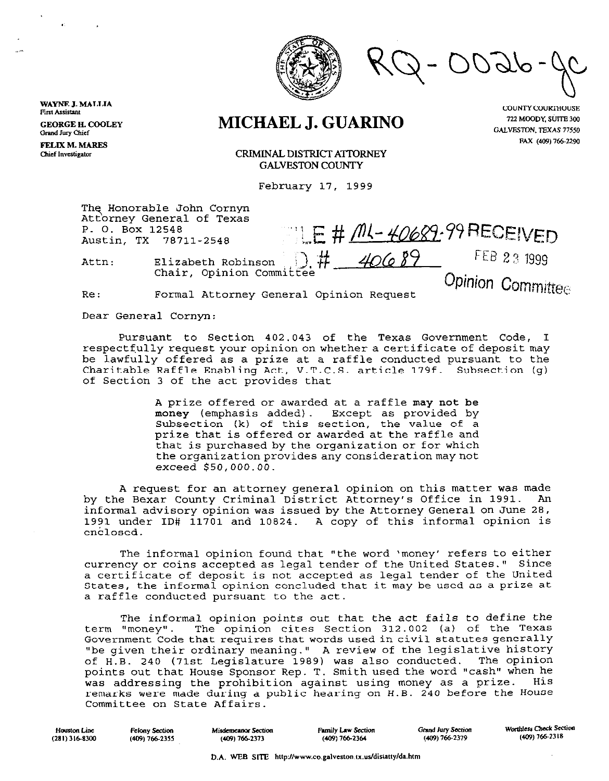

 $E \# \overline{M} - 40682.99$ RECEIVED

## **MICHAEL J. GUARINO**

**COUNTY COURTHOUSE** 722 MOODY, SUITE 300 GALVESTON, TEXAS 77550 **FAX (409) 766-2290** 

CRIMINAL DISTRICT ATTORNEY **GALVESTON COUNTY** 

February 17, 1999

The Honorable John Cornyn Att\orney General of Texas P. 0. Box 12548 Austin, TX 78711-2548

WAYNE **J. MALLIA First Assistant** 

**GEORGEH.COOLEY Grand Jury Chief FELIX M. MARES Chief Investigator** 

> Attn: Elizabeth Robinson  $\Box$ . # 40689 Chair, Opinion Committee

Opinion Committee

FEB 23 1999

Re: **normal** Attorney General Opinion Request

Dear General Cornyn:

Pursuant to Section 402.043 of the Texas Government Code, I respectfully request your opinion on whether a certificate of deposit may be lawfully offered as a prize at a raffle conducted pursuant to the Charitable Raffle Enabling Act, V.T.C.S. article 179f. Subsection (g) of Section 3 of the act provides that

> A prize offered or awarded at a raffle may not be money (emphasis added). Except as provided by Subsection (k) of this section, the value of a prize that is offered or awarded at the raffle and that is purchased by the organization or for which the organization provides any consideration may not exceed \$SO,OOO.OO.

A request for an attorney general opinion on this matter was made by the Bexar County Criminal District Attorney's Office in 1991. An informal advisory opinion was issued by the Attorney General on June 28, 1991 under ID# 11701 and 10824. A copy of this informal opinion is enclosed.

The informal opinion found that "the word 'money' refers to either currency or coins accepted as legal tender of the United States." Since a certificate of deposit is not accepted as legal tender of the United States, the informal opinion concluded that it may be used as a prize at a raffle conducted pursuant to the act.

The informal opinion points out that the act fails to define the term "money". The opinion cites Section 312.002 (a) of the Texas Government Code that requires that words usedin civil statutes generally "be given their ordinary meaning." A review of the legislative history<br>of H.B. 240 (71st Legislature 1989) was also conducted. The opinion of H.B. 240 (71st Legislature 1989) was also conducted. The opinion points out that House Sponsor Rep. T. Smith used the word "cash" when he was addressing the prohibition against using money as a prize. His remarks were made during a public hearing on H.B. 240 before the House Committee on State Affairs.

| Houston Line   | Felony Section   | Misdemeanor Section | Family Law Section | <b>Grand Jury Section</b> | Worthless Check Section |
|----------------|------------------|---------------------|--------------------|---------------------------|-------------------------|
| (281) 316-8300 | $(409)$ 766-2355 | $(409)$ 766-2373    | $(409)$ 766-2364   | (409) 766-2379            | (409) 766-2318          |
|                |                  |                     |                    |                           |                         |